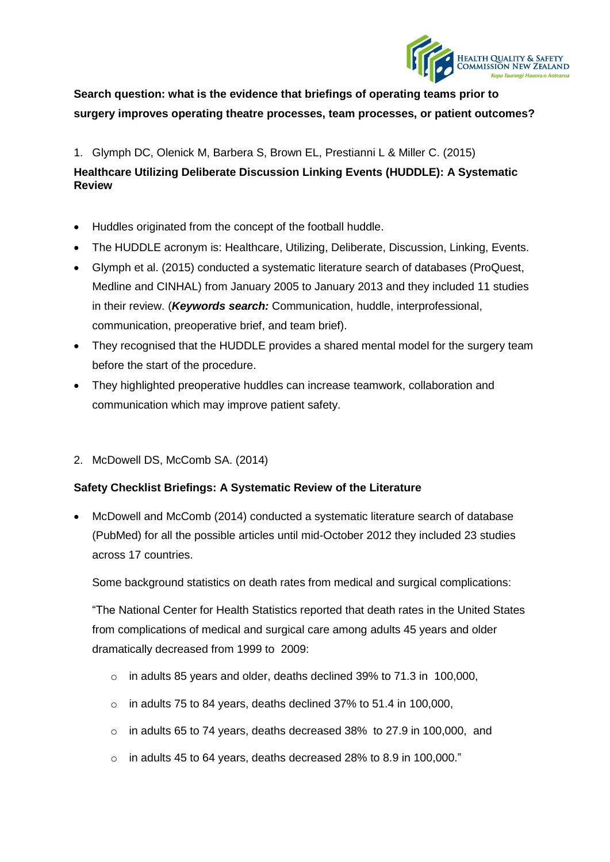

# **Search question: what is the evidence that briefings of operating teams prior to surgery improves operating theatre processes, team processes, or patient outcomes?**

1. Glymph DC, Olenick M, Barbera S, Brown EL, Prestianni L & Miller C. (2015)

## **Healthcare Utilizing Deliberate Discussion Linking Events (HUDDLE): A Systematic Review**

- Huddles originated from the concept of the football huddle.
- The HUDDLE acronym is: Healthcare, Utilizing, Deliberate, Discussion, Linking, Events.
- Glymph et al. (2015) conducted a systematic literature search of databases (ProQuest, Medline and CINHAL) from January 2005 to January 2013 and they included 11 studies in their review. (*Keywords search:* Communication, huddle, interprofessional, communication, preoperative brief, and team brief).
- They recognised that the HUDDLE provides a shared mental model for the surgery team before the start of the procedure.
- They highlighted preoperative huddles can increase teamwork, collaboration and communication which may improve patient safety.
- 2. McDowell DS, McComb SA. (2014)

## **Safety Checklist Briefings: A Systematic Review of the Literature**

 McDowell and McComb (2014) conducted a systematic literature search of database (PubMed) for all the possible articles until mid-October 2012 they included 23 studies across 17 countries.

Some background statistics on death rates from medical and surgical complications:

"The National Center for Health Statistics reported that death rates in the United States from complications of medical and surgical care among adults 45 years and older dramatically decreased from 1999 to 2009:

- o in adults 85 years and older, deaths declined 39% to 71.3 in 100,000,
- $\circ$  in adults 75 to 84 years, deaths declined 37% to 51.4 in 100,000,
- o in adults 65 to 74 years, deaths decreased 38% to 27.9 in 100,000, and
- $\degree$  in adults 45 to 64 years, deaths decreased 28% to 8.9 in 100,000."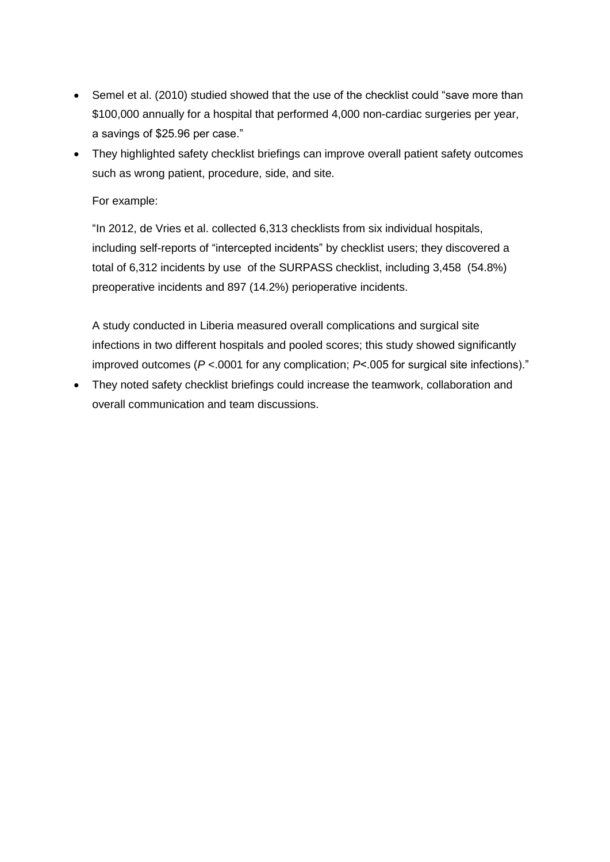- Semel et al. (2010) studied showed that the use of the checklist could "save more than \$100,000 annually for a hospital that performed 4,000 non-cardiac surgeries per year, a savings of \$25.96 per case."
- They highlighted safety checklist briefings can improve overall patient safety outcomes such as wrong patient, procedure, side, and site.

## For example:

"In 2012, de Vries et al. collected 6,313 checklists from six individual hospitals, including self-reports of "intercepted incidents" by checklist users; they discovered a total of 6,312 incidents by use of the SURPASS checklist, including 3,458 (54.8%) preoperative incidents and 897 (14.2%) perioperative incidents.

A study conducted in Liberia measured overall complications and surgical site infections in two different hospitals and pooled scores; this study showed significantly improved outcomes (*P* <.0001 for any complication; *P*<.005 for surgical site infections)."

 They noted safety checklist briefings could increase the teamwork, collaboration and overall communication and team discussions.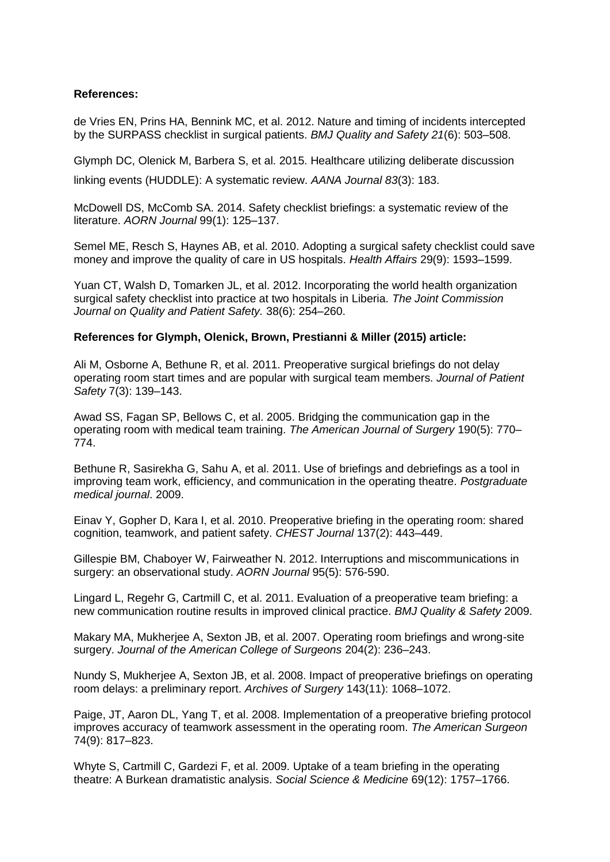### **References:**

de Vries EN, Prins HA, Bennink MC, et al. 2012. Nature and timing of incidents intercepted by the SURPASS checklist in surgical patients. *BMJ Quality and Safety 21*(6): 503–508.

Glymph DC, Olenick M, Barbera S, et al. 2015. Healthcare utilizing deliberate discussion linking events (HUDDLE): A systematic review. *AANA Journal 83*(3): 183.

McDowell DS, McComb SA. 2014. Safety checklist briefings: a systematic review of the literature. *AORN Journal* 99(1): 125–137.

Semel ME, Resch S, Haynes AB, et al. 2010. Adopting a surgical safety checklist could save money and improve the quality of care in US hospitals. *Health Affairs* 29(9): 1593–1599.

Yuan CT, Walsh D, Tomarken JL, et al. 2012. Incorporating the world health organization surgical safety checklist into practice at two hospitals in Liberia. *The Joint Commission Journal on Quality and Patient Safety.* 38(6): 254–260.

#### **References for Glymph, Olenick, Brown, Prestianni & Miller (2015) article:**

Ali M, Osborne A, Bethune R, et al. 2011. Preoperative surgical briefings do not delay operating room start times and are popular with surgical team members. *Journal of Patient Safety* 7(3): 139–143.

Awad SS, Fagan SP, Bellows C, et al. 2005. Bridging the communication gap in the operating room with medical team training. *The American Journal of Surgery* 190(5): 770– 774.

Bethune R, Sasirekha G, Sahu A, et al. 2011. Use of briefings and debriefings as a tool in improving team work, efficiency, and communication in the operating theatre. *Postgraduate medical journal*. 2009.

Einav Y, Gopher D, Kara I, et al. 2010. Preoperative briefing in the operating room: shared cognition, teamwork, and patient safety. *CHEST Journal* 137(2): 443–449.

Gillespie BM, Chaboyer W, Fairweather N. 2012. Interruptions and miscommunications in surgery: an observational study. *AORN Journal* 95(5): 576-590.

Lingard L, Regehr G, Cartmill C, et al. 2011. Evaluation of a preoperative team briefing: a new communication routine results in improved clinical practice. *BMJ Quality & Safety* 2009.

Makary MA, Mukherjee A, Sexton JB, et al. 2007. Operating room briefings and wrong-site surgery. *Journal of the American College of Surgeons* 204(2): 236–243.

Nundy S, Mukherjee A, Sexton JB, et al. 2008. Impact of preoperative briefings on operating room delays: a preliminary report. *Archives of Surgery* 143(11): 1068–1072.

Paige, JT, Aaron DL, Yang T, et al. 2008. Implementation of a preoperative briefing protocol improves accuracy of teamwork assessment in the operating room. *The American Surgeon* 74(9): 817–823.

Whyte S, Cartmill C, Gardezi F, et al. 2009. Uptake of a team briefing in the operating theatre: A Burkean dramatistic analysis. *Social Science & Medicine* 69(12): 1757–1766.